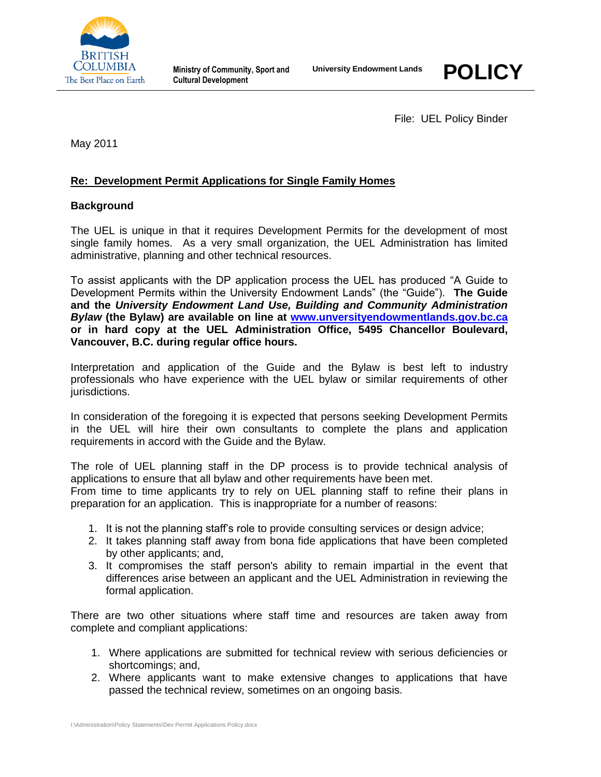



File: UEL Policy Binder

May 2011

# **Re: Development Permit Applications for Single Family Homes**

### **Background**

The UEL is unique in that it requires Development Permits for the development of most single family homes. As a very small organization, the UEL Administration has limited administrative, planning and other technical resources.

To assist applicants with the DP application process the UEL has produced "A Guide to Development Permits within the University Endowment Lands" (the "Guide"). **The Guide and the** *University Endowment Land Use, Building and Community Administration Bylaw* **(the Bylaw) are available on line at [www.unversityendowmentlands.gov.bc.ca](http://www.unversityendowmentlands.gov.bc.ca/) or in hard copy at the UEL Administration Office, 5495 Chancellor Boulevard, Vancouver, B.C. during regular office hours.**

Interpretation and application of the Guide and the Bylaw is best left to industry professionals who have experience with the UEL bylaw or similar requirements of other jurisdictions.

In consideration of the foregoing it is expected that persons seeking Development Permits in the UEL will hire their own consultants to complete the plans and application requirements in accord with the Guide and the Bylaw.

The role of UEL planning staff in the DP process is to provide technical analysis of applications to ensure that all bylaw and other requirements have been met.

From time to time applicants try to rely on UEL planning staff to refine their plans in preparation for an application. This is inappropriate for a number of reasons:

- 1. It is not the planning staff's role to provide consulting services or design advice;
- 2. It takes planning staff away from bona fide applications that have been completed by other applicants; and,
- 3. It compromises the staff person's ability to remain impartial in the event that differences arise between an applicant and the UEL Administration in reviewing the formal application.

There are two other situations where staff time and resources are taken away from complete and compliant applications:

- 1. Where applications are submitted for technical review with serious deficiencies or shortcomings; and,
- 2. Where applicants want to make extensive changes to applications that have passed the technical review, sometimes on an ongoing basis.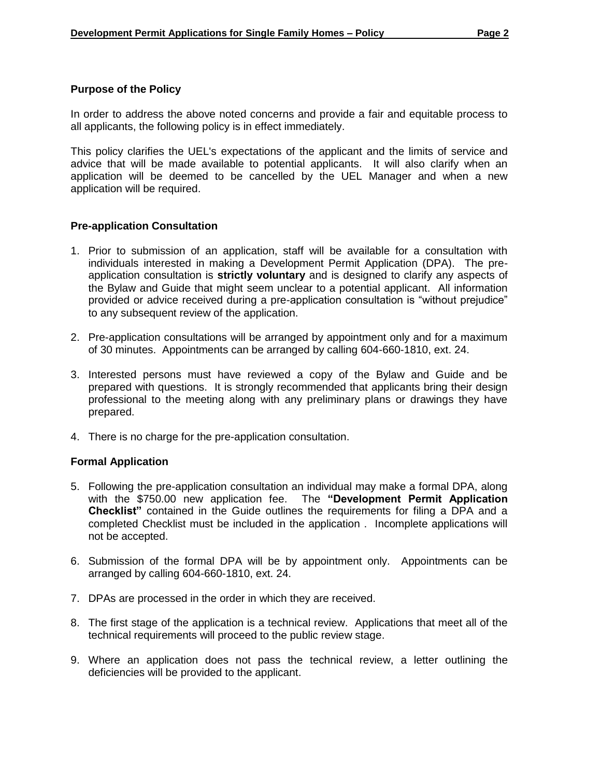#### **Purpose of the Policy**

In order to address the above noted concerns and provide a fair and equitable process to all applicants, the following policy is in effect immediately.

This policy clarifies the UEL's expectations of the applicant and the limits of service and advice that will be made available to potential applicants. It will also clarify when an application will be deemed to be cancelled by the UEL Manager and when a new application will be required.

# **Pre-application Consultation**

- 1. Prior to submission of an application, staff will be available for a consultation with individuals interested in making a Development Permit Application (DPA). The preapplication consultation is **strictly voluntary** and is designed to clarify any aspects of the Bylaw and Guide that might seem unclear to a potential applicant. All information provided or advice received during a pre-application consultation is "without prejudice" to any subsequent review of the application.
- 2. Pre-application consultations will be arranged by appointment only and for a maximum of 30 minutes. Appointments can be arranged by calling 604-660-1810, ext. 24.
- 3. Interested persons must have reviewed a copy of the Bylaw and Guide and be prepared with questions. It is strongly recommended that applicants bring their design professional to the meeting along with any preliminary plans or drawings they have prepared.
- 4. There is no charge for the pre-application consultation.

#### **Formal Application**

- 5. Following the pre-application consultation an individual may make a formal DPA, along with the \$750.00 new application fee. The **"Development Permit Application Checklist"** contained in the Guide outlines the requirements for filing a DPA and a completed Checklist must be included in the application . Incomplete applications will not be accepted.
- 6. Submission of the formal DPA will be by appointment only. Appointments can be arranged by calling 604-660-1810, ext. 24.
- 7. DPAs are processed in the order in which they are received.
- 8. The first stage of the application is a technical review. Applications that meet all of the technical requirements will proceed to the public review stage.
- 9. Where an application does not pass the technical review, a letter outlining the deficiencies will be provided to the applicant.